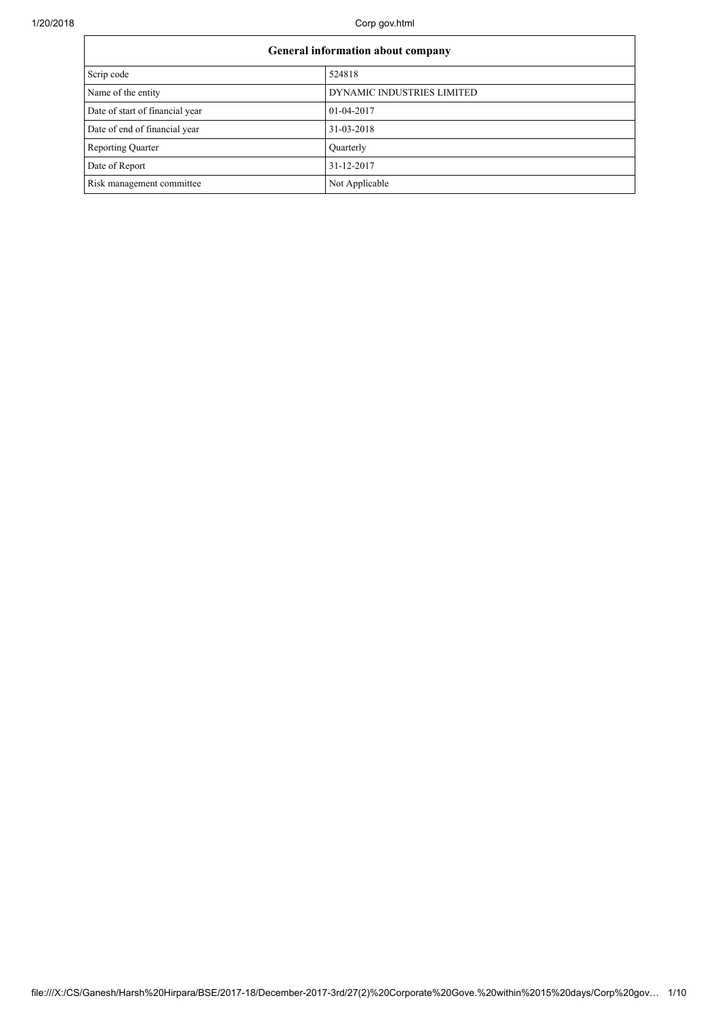| General information about company |                            |  |  |  |
|-----------------------------------|----------------------------|--|--|--|
| Scrip code                        | 524818                     |  |  |  |
| Name of the entity                | DYNAMIC INDUSTRIES LIMITED |  |  |  |
| Date of start of financial year   | 01-04-2017                 |  |  |  |
| Date of end of financial year     | 31-03-2018                 |  |  |  |
| <b>Reporting Quarter</b>          | Quarterly                  |  |  |  |
| Date of Report                    | 31-12-2017                 |  |  |  |
| Risk management committee         | Not Applicable             |  |  |  |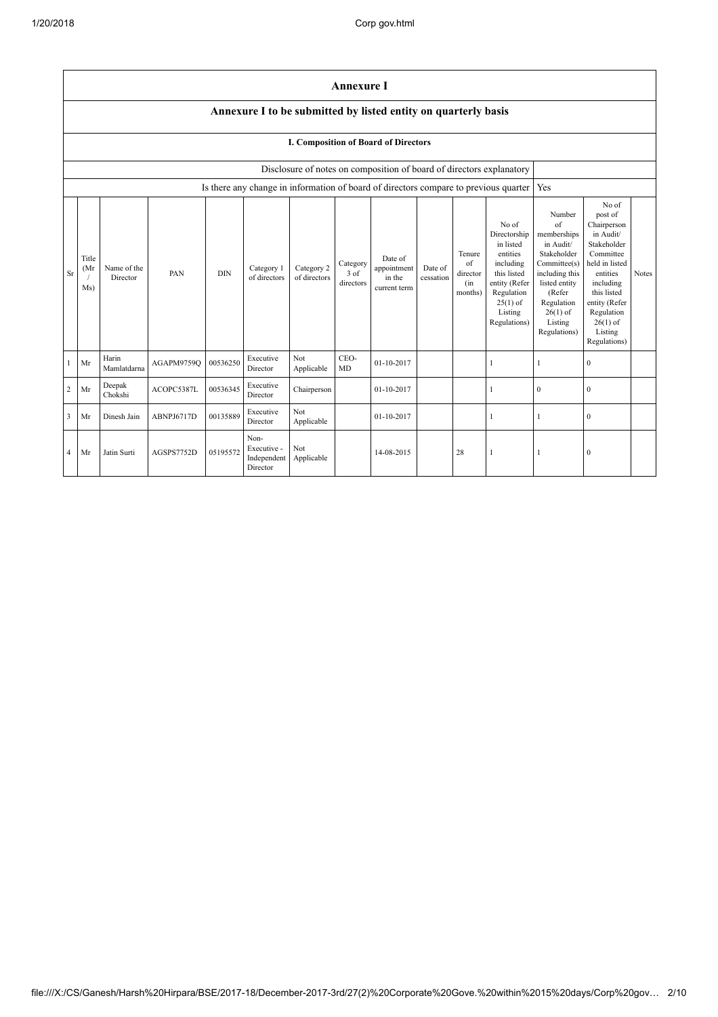|                                                                                          | <b>Annexure I</b>                                                    |                         |            |            |                                                |                            |                                 |                                                  |                      |                                            |                                                                                                                                                    |                                                                                                                                                                                     |                                                                                                                                                                                                            |       |
|------------------------------------------------------------------------------------------|----------------------------------------------------------------------|-------------------------|------------|------------|------------------------------------------------|----------------------------|---------------------------------|--------------------------------------------------|----------------------|--------------------------------------------|----------------------------------------------------------------------------------------------------------------------------------------------------|-------------------------------------------------------------------------------------------------------------------------------------------------------------------------------------|------------------------------------------------------------------------------------------------------------------------------------------------------------------------------------------------------------|-------|
|                                                                                          | Annexure I to be submitted by listed entity on quarterly basis       |                         |            |            |                                                |                            |                                 |                                                  |                      |                                            |                                                                                                                                                    |                                                                                                                                                                                     |                                                                                                                                                                                                            |       |
|                                                                                          | <b>I. Composition of Board of Directors</b>                          |                         |            |            |                                                |                            |                                 |                                                  |                      |                                            |                                                                                                                                                    |                                                                                                                                                                                     |                                                                                                                                                                                                            |       |
|                                                                                          | Disclosure of notes on composition of board of directors explanatory |                         |            |            |                                                |                            |                                 |                                                  |                      |                                            |                                                                                                                                                    |                                                                                                                                                                                     |                                                                                                                                                                                                            |       |
| Is there any change in information of board of directors compare to previous quarter Yes |                                                                      |                         |            |            |                                                |                            |                                 |                                                  |                      |                                            |                                                                                                                                                    |                                                                                                                                                                                     |                                                                                                                                                                                                            |       |
| <b>Sr</b>                                                                                | Title<br>(Mr<br>Ms)                                                  | Name of the<br>Director | PAN        | <b>DIN</b> | Category 1<br>of directors                     | Category 2<br>of directors | Category<br>$3$ of<br>directors | Date of<br>appointment<br>in the<br>current term | Date of<br>cessation | Tenure<br>of<br>director<br>(in<br>months) | No of<br>Directorship<br>in listed<br>entities<br>including<br>this listed<br>entity (Refer<br>Regulation<br>$25(1)$ of<br>Listing<br>Regulations) | Number<br>$\sigma$ f<br>memberships<br>in Audit/<br>Stakeholder<br>Committee(s)<br>including this<br>listed entity<br>(Refer<br>Regulation<br>$26(1)$ of<br>Listing<br>Regulations) | No of<br>post of<br>Chairperson<br>in Audit/<br>Stakeholder<br>Committee<br>held in listed<br>entities<br>including<br>this listed<br>entity (Refer<br>Regulation<br>$26(1)$ of<br>Listing<br>Regulations) | Notes |
|                                                                                          | Mr                                                                   | Harin<br>Mamlatdarna    | AGAPM9759Q | 00536250   | Executive<br>Director                          | Not<br>Applicable          | CEO-<br>MD                      | 01-10-2017                                       |                      |                                            | 1                                                                                                                                                  |                                                                                                                                                                                     | $\mathbf{0}$                                                                                                                                                                                               |       |
| 2                                                                                        | Mr                                                                   | Deepak<br>Chokshi       | ACOPC5387L | 00536345   | Executive<br>Director                          | Chairperson                |                                 | 01-10-2017                                       |                      |                                            | 1                                                                                                                                                  | $\boldsymbol{0}$                                                                                                                                                                    | $\mathbf{0}$                                                                                                                                                                                               |       |
| 3                                                                                        | Mr                                                                   | Dinesh Jain             | ABNPJ6717D | 00135889   | Executive<br>Director                          | Not<br>Applicable          |                                 | 01-10-2017                                       |                      |                                            | 1                                                                                                                                                  | -1                                                                                                                                                                                  | $\mathbf{0}$                                                                                                                                                                                               |       |
| 4                                                                                        | Mr                                                                   | Jatin Surti             | AGSPS7752D | 05195572   | Non-<br>Executive -<br>Independent<br>Director | Not<br>Applicable          |                                 | 14-08-2015                                       |                      | 28                                         | 1                                                                                                                                                  |                                                                                                                                                                                     | $\mathbf{0}$                                                                                                                                                                                               |       |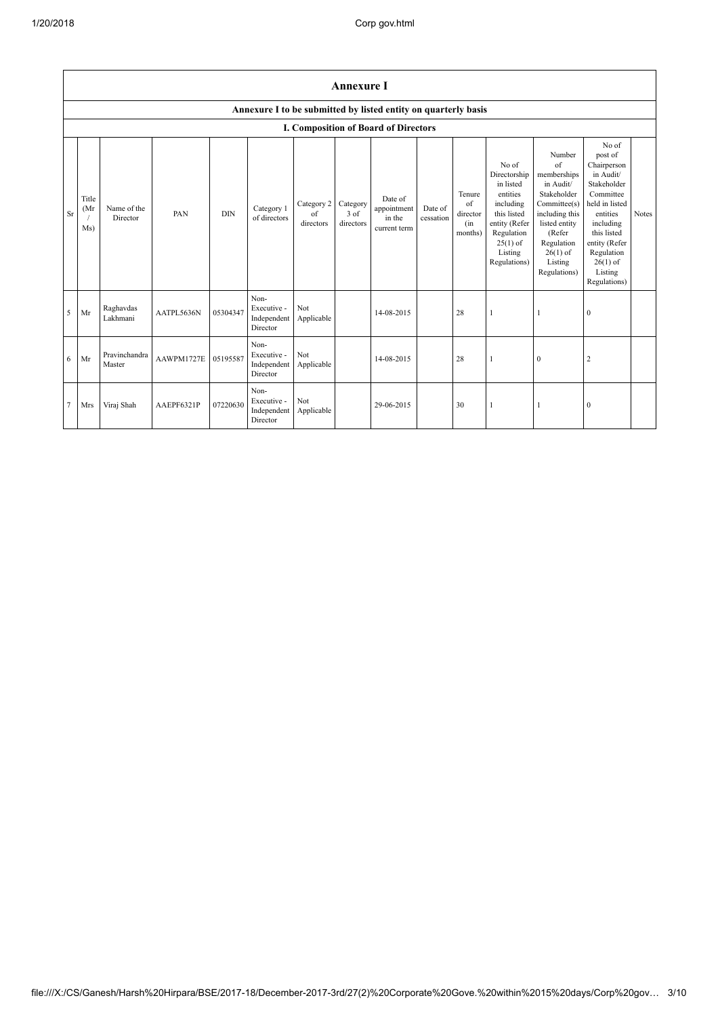|                | <b>Annexure I</b>    |                         |            |            |                                                                |                               |                                 |                                                  |                      |                                             |                                                                                                                                                    |                                                                                                                                                                             |                                                                                                                                                                                                            |              |
|----------------|----------------------|-------------------------|------------|------------|----------------------------------------------------------------|-------------------------------|---------------------------------|--------------------------------------------------|----------------------|---------------------------------------------|----------------------------------------------------------------------------------------------------------------------------------------------------|-----------------------------------------------------------------------------------------------------------------------------------------------------------------------------|------------------------------------------------------------------------------------------------------------------------------------------------------------------------------------------------------------|--------------|
|                |                      |                         |            |            | Annexure I to be submitted by listed entity on quarterly basis |                               |                                 |                                                  |                      |                                             |                                                                                                                                                    |                                                                                                                                                                             |                                                                                                                                                                                                            |              |
|                |                      |                         |            |            |                                                                |                               |                                 | <b>I. Composition of Board of Directors</b>      |                      |                                             |                                                                                                                                                    |                                                                                                                                                                             |                                                                                                                                                                                                            |              |
| <b>Sr</b>      | Title<br>(Mr)<br>Ms) | Name of the<br>Director | PAN        | <b>DIN</b> | Category 1<br>of directors                                     | Category 2<br>of<br>directors | Category<br>$3$ of<br>directors | Date of<br>appointment<br>in the<br>current term | Date of<br>cessation | Tenure<br>of<br>director<br>(in)<br>months) | No of<br>Directorship<br>in listed<br>entities<br>including<br>this listed<br>entity (Refer<br>Regulation<br>$25(1)$ of<br>Listing<br>Regulations) | Number<br>of<br>memberships<br>in Audit/<br>Stakeholder<br>Committee(s)<br>including this<br>listed entity<br>(Refer<br>Regulation<br>$26(1)$ of<br>Listing<br>Regulations) | No of<br>post of<br>Chairperson<br>in Audit/<br>Stakeholder<br>Committee<br>held in listed<br>entities<br>including<br>this listed<br>entity (Refer<br>Regulation<br>$26(1)$ of<br>Listing<br>Regulations) | <b>Notes</b> |
| 5              | Mr                   | Raghavdas<br>Lakhmani   | AATPL5636N | 05304347   | Non-<br>Executive -<br>Independent<br>Director                 | Not<br>Applicable             |                                 | 14-08-2015                                       |                      | 28                                          |                                                                                                                                                    |                                                                                                                                                                             | $\mathbf{0}$                                                                                                                                                                                               |              |
| 6              | Mr                   | Pravinchandra<br>Master | AAWPM1727E | 05195587   | Non-<br>Executive -<br>Independent<br>Director                 | Not<br>Applicable             |                                 | 14-08-2015                                       |                      | 28                                          | 1                                                                                                                                                  | $\mathbf{0}$                                                                                                                                                                | 2                                                                                                                                                                                                          |              |
| $\overline{7}$ | Mrs                  | Viraj Shah              | AAEPF6321P | 07220630   | Non-<br>Executive -<br>Independent<br>Director                 | Not<br>Applicable             |                                 | 29-06-2015                                       |                      | 30                                          |                                                                                                                                                    |                                                                                                                                                                             | $\mathbf{0}$                                                                                                                                                                                               |              |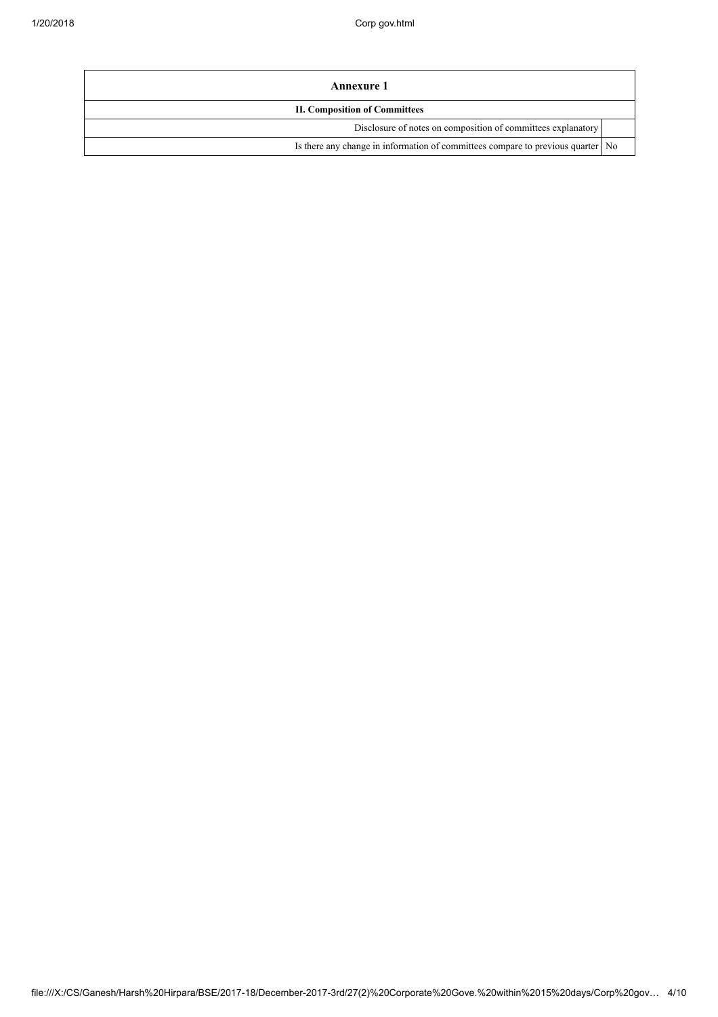| Annexure 1                                                                        |  |
|-----------------------------------------------------------------------------------|--|
| <b>II. Composition of Committees</b>                                              |  |
| Disclosure of notes on composition of committees explanatory                      |  |
| Is there any change in information of committees compare to previous quarter   No |  |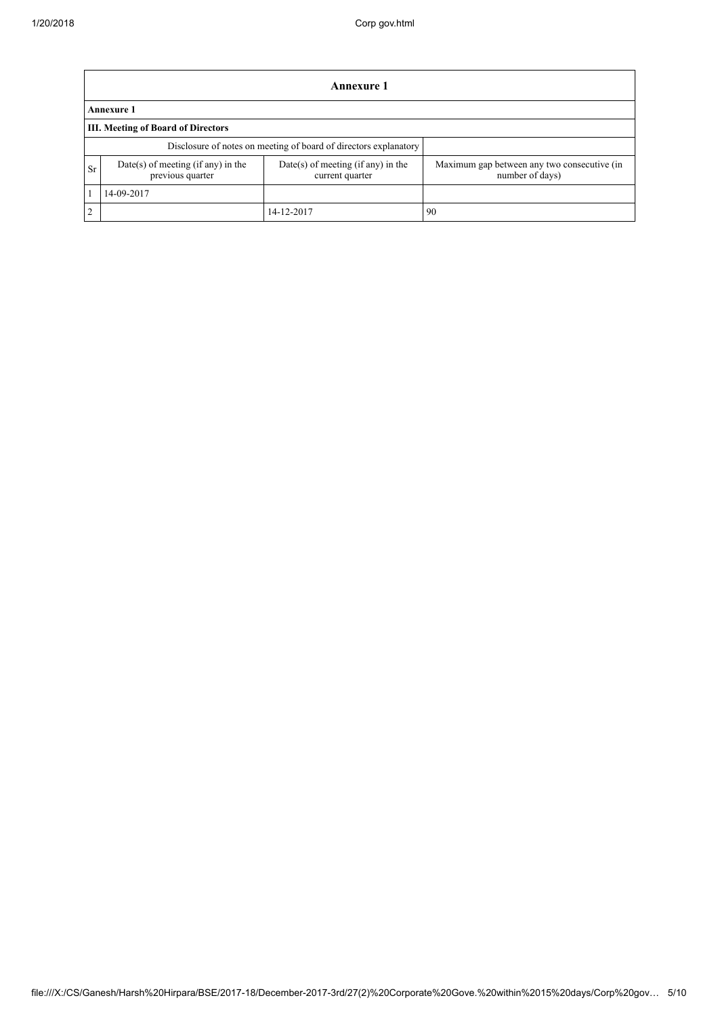|    | <b>Annexure 1</b>                                                                                               |            |                                                                |  |  |  |  |  |
|----|-----------------------------------------------------------------------------------------------------------------|------------|----------------------------------------------------------------|--|--|--|--|--|
|    | <b>Annexure 1</b>                                                                                               |            |                                                                |  |  |  |  |  |
|    | <b>III.</b> Meeting of Board of Directors                                                                       |            |                                                                |  |  |  |  |  |
|    | Disclosure of notes on meeting of board of directors explanatory                                                |            |                                                                |  |  |  |  |  |
| Sr | Date(s) of meeting (if any) in the<br>Date(s) of meeting (if any) in the<br>previous quarter<br>current quarter |            | Maximum gap between any two consecutive (in<br>number of days) |  |  |  |  |  |
|    | 14-09-2017                                                                                                      |            |                                                                |  |  |  |  |  |
| 2  |                                                                                                                 | 14-12-2017 | 90                                                             |  |  |  |  |  |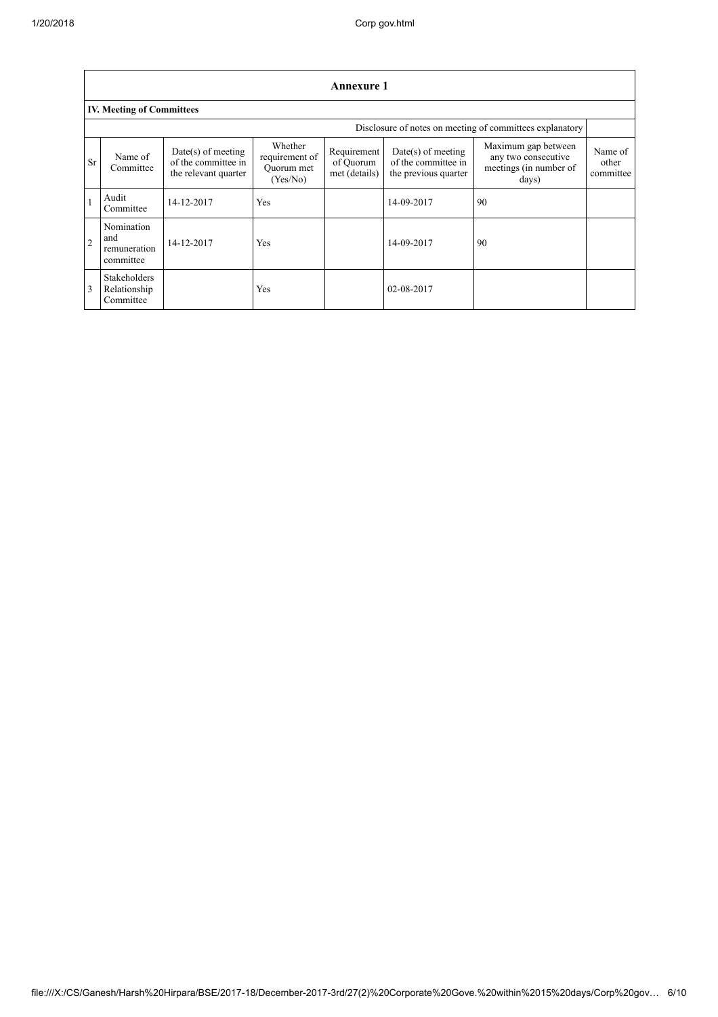|                | <b>Annexure 1</b>                                        |                                                                     |                                                     |                                           |                                                                   |                                                                               |                               |  |  |
|----------------|----------------------------------------------------------|---------------------------------------------------------------------|-----------------------------------------------------|-------------------------------------------|-------------------------------------------------------------------|-------------------------------------------------------------------------------|-------------------------------|--|--|
|                | <b>IV. Meeting of Committees</b>                         |                                                                     |                                                     |                                           |                                                                   |                                                                               |                               |  |  |
|                | Disclosure of notes on meeting of committees explanatory |                                                                     |                                                     |                                           |                                                                   |                                                                               |                               |  |  |
| <b>Sr</b>      | Name of<br>Committee                                     | $Date(s)$ of meeting<br>of the committee in<br>the relevant quarter | Whether<br>requirement of<br>Ouorum met<br>(Yes/No) | Requirement<br>of Quorum<br>met (details) | Date(s) of meeting<br>of the committee in<br>the previous quarter | Maximum gap between<br>any two consecutive<br>meetings (in number of<br>days) | Name of<br>other<br>committee |  |  |
|                | Audit<br>Committee                                       | 14-12-2017                                                          | Yes                                                 |                                           | 14-09-2017                                                        | 90                                                                            |                               |  |  |
| $\overline{2}$ | Nomination<br>and<br>remuneration<br>committee           | 14-12-2017                                                          | Yes                                                 |                                           | 14-09-2017                                                        | 90                                                                            |                               |  |  |
| 3              | Stakeholders<br>Relationship<br>Committee                |                                                                     | Yes                                                 |                                           | 02-08-2017                                                        |                                                                               |                               |  |  |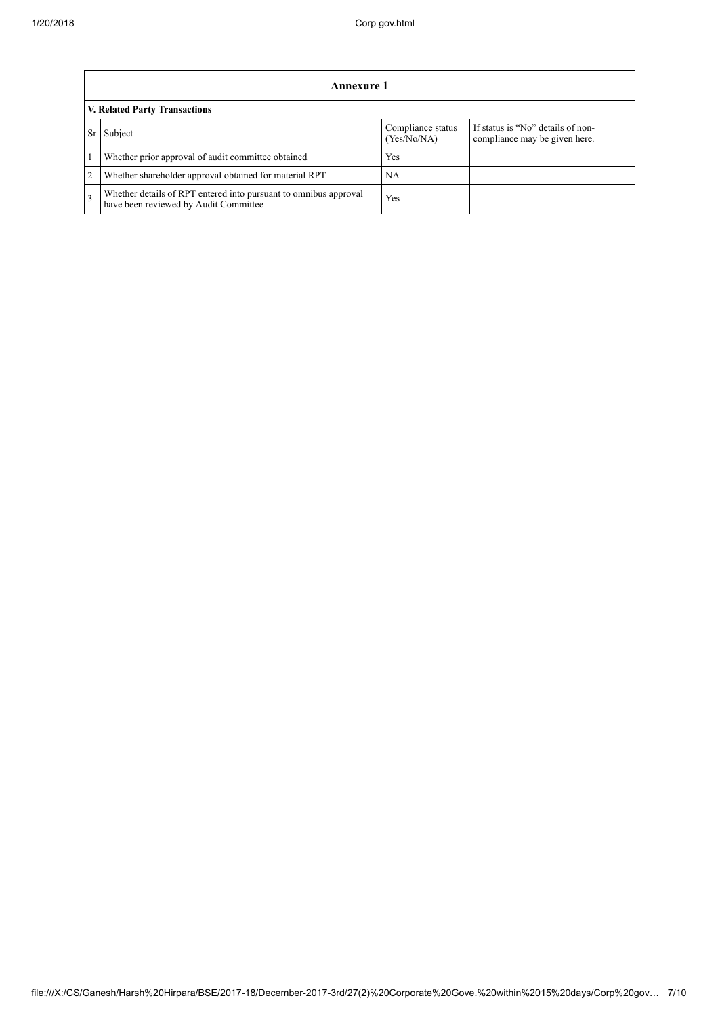|                | Annexure 1                                                                                                |                                  |                                                                    |  |  |  |
|----------------|-----------------------------------------------------------------------------------------------------------|----------------------------------|--------------------------------------------------------------------|--|--|--|
|                | V. Related Party Transactions                                                                             |                                  |                                                                    |  |  |  |
|                | Subject                                                                                                   | Compliance status<br>(Yes/No/NA) | If status is "No" details of non-<br>compliance may be given here. |  |  |  |
|                | Whether prior approval of audit committee obtained                                                        | Yes                              |                                                                    |  |  |  |
| $\overline{2}$ | Whether shareholder approval obtained for material RPT                                                    | NA.                              |                                                                    |  |  |  |
| $\mathcal{R}$  | Whether details of RPT entered into pursuant to omnibus approval<br>have been reviewed by Audit Committee | Yes                              |                                                                    |  |  |  |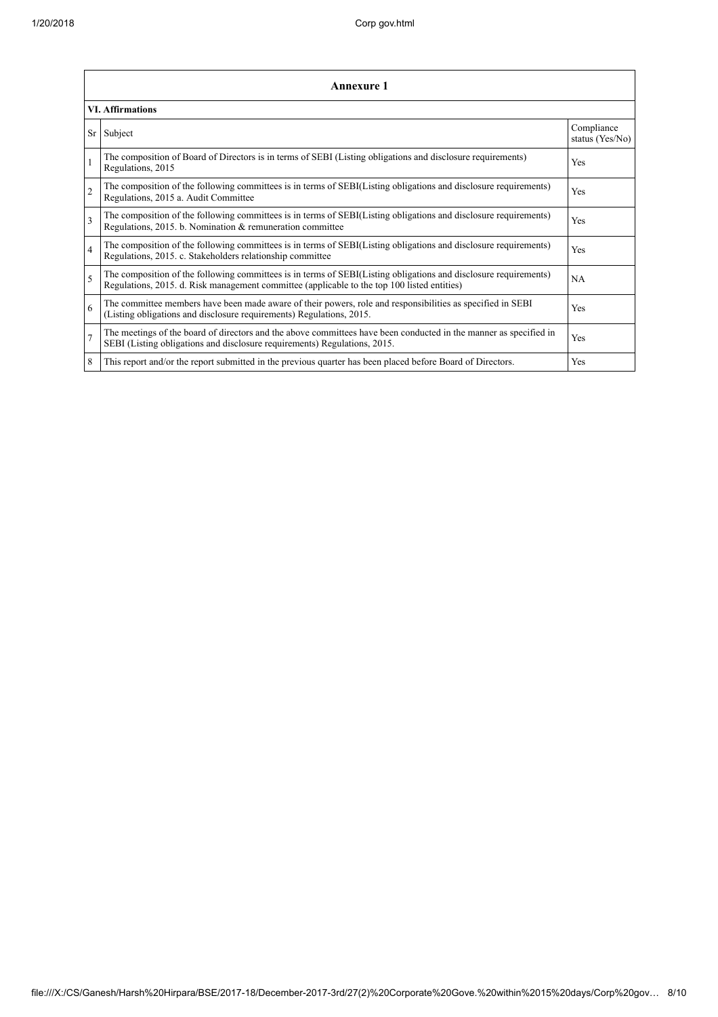|                | <b>Annexure 1</b>                                                                                                                                                                                               |                               |  |  |  |  |
|----------------|-----------------------------------------------------------------------------------------------------------------------------------------------------------------------------------------------------------------|-------------------------------|--|--|--|--|
|                | <b>VI. Affirmations</b>                                                                                                                                                                                         |                               |  |  |  |  |
| Sr             | Subject                                                                                                                                                                                                         | Compliance<br>status (Yes/No) |  |  |  |  |
|                | The composition of Board of Directors is in terms of SEBI (Listing obligations and disclosure requirements)<br>Regulations, 2015                                                                                | Yes                           |  |  |  |  |
| $\overline{2}$ | The composition of the following committees is in terms of SEBI(Listing obligations and disclosure requirements)<br>Regulations, 2015 a. Audit Committee                                                        | Yes                           |  |  |  |  |
| 3              | The composition of the following committees is in terms of SEBI(Listing obligations and disclosure requirements)<br>Regulations, 2015. b. Nomination & remuneration committee                                   | Yes                           |  |  |  |  |
| $\overline{4}$ | The composition of the following committees is in terms of SEBI(Listing obligations and disclosure requirements)<br>Regulations, 2015. c. Stakeholders relationship committee                                   | Yes                           |  |  |  |  |
| 5              | The composition of the following committees is in terms of SEBI(Listing obligations and disclosure requirements)<br>Regulations, 2015. d. Risk management committee (applicable to the top 100 listed entities) | <b>NA</b>                     |  |  |  |  |
| 6              | The committee members have been made aware of their powers, role and responsibilities as specified in SEBI<br>(Listing obligations and disclosure requirements) Regulations, 2015.                              | Yes                           |  |  |  |  |
| $\overline{7}$ | The meetings of the board of directors and the above committees have been conducted in the manner as specified in<br>SEBI (Listing obligations and disclosure requirements) Regulations, 2015.                  | Yes                           |  |  |  |  |
| 8              | This report and/or the report submitted in the previous quarter has been placed before Board of Directors.                                                                                                      | Yes                           |  |  |  |  |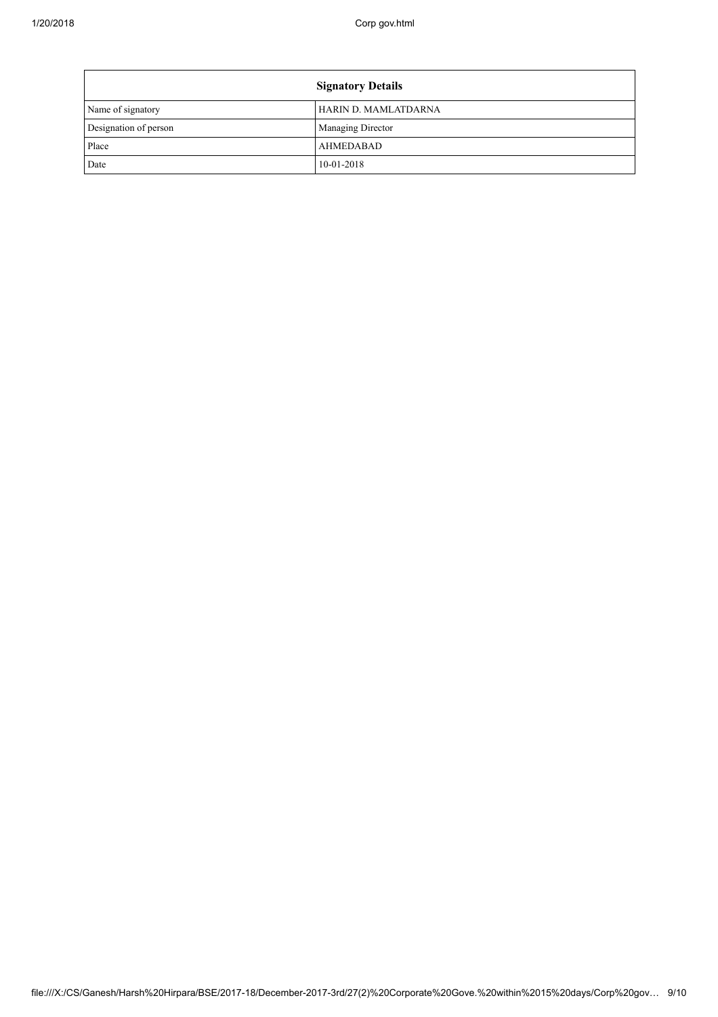|                       | <b>Signatory Details</b> |
|-----------------------|--------------------------|
| Name of signatory     | HARIN D. MAMLATDARNA     |
| Designation of person | Managing Director        |
| Place                 | AHMEDABAD                |
| Date                  | $10-01-2018$             |